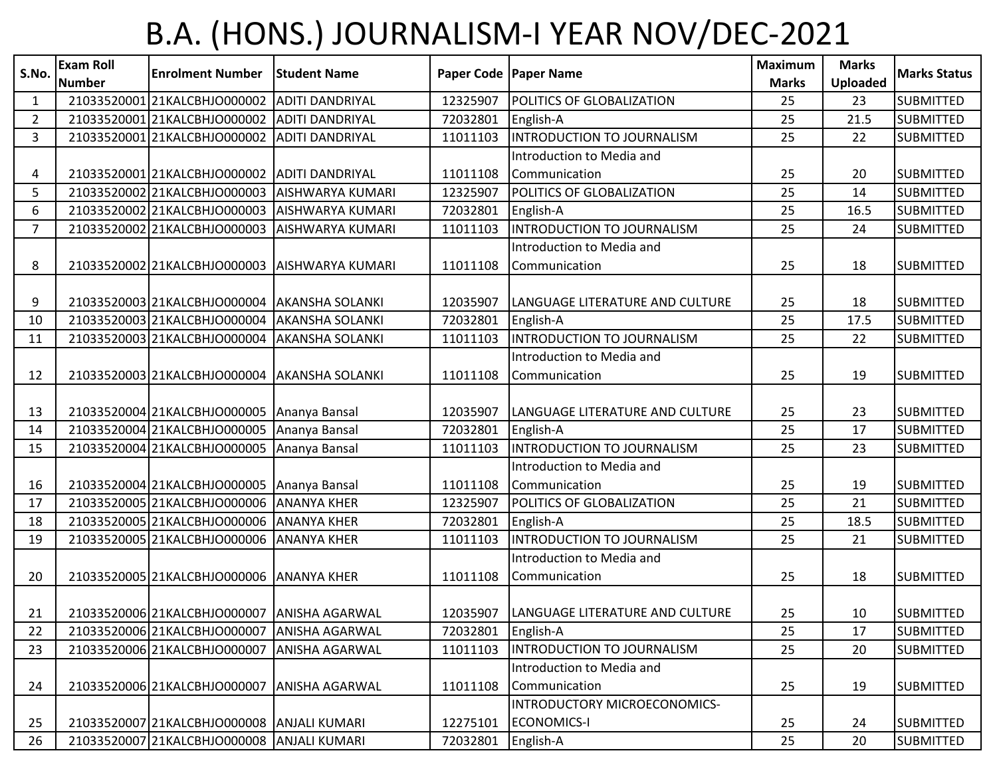## B.A. (HONS.) JOURNALISM-I YEAR NOV/DEC-2021

| S.No.          | <b>Exam Roll</b><br><b>Number</b> | <b>Enrolment Number</b>                      | <b>Student Name</b>     |          | Paper Code   Paper Name         | <b>Maximum</b><br><b>Marks</b> | <b>Marks</b><br><b>Uploaded</b> | <b>Marks Status</b> |
|----------------|-----------------------------------|----------------------------------------------|-------------------------|----------|---------------------------------|--------------------------------|---------------------------------|---------------------|
| 1              |                                   | 21033520001 21KALCBHJO000002                 | <b>ADITI DANDRIYAL</b>  | 12325907 | POLITICS OF GLOBALIZATION       | 25                             | 23                              | <b>SUBMITTED</b>    |
| $\overline{2}$ |                                   | 21033520001 21KALCBHJO000002                 | <b>ADITI DANDRIYAL</b>  | 72032801 | English-A                       | 25                             | 21.5                            | <b>SUBMITTED</b>    |
| 3              |                                   | 21033520001 21KALCBHJ0000002                 | <b>ADITI DANDRIYAL</b>  | 11011103 | INTRODUCTION TO JOURNALISM      | 25                             | 22                              | <b>SUBMITTED</b>    |
|                |                                   |                                              |                         |          | Introduction to Media and       |                                |                                 |                     |
| 4              |                                   | 21033520001 21KALCBHJO000002                 | <b>ADITI DANDRIYAL</b>  | 11011108 | Communication                   | 25                             | 20                              | <b>SUBMITTED</b>    |
| 5              |                                   | 21033520002 21KALCBHJO000003                 | <b>AISHWARYA KUMARI</b> | 12325907 | POLITICS OF GLOBALIZATION       | 25                             | 14                              | <b>SUBMITTED</b>    |
| 6              |                                   | 21033520002 21KALCBHJO000003                 | <b>AISHWARYA KUMARI</b> | 72032801 | English-A                       | 25                             | 16.5                            | <b>SUBMITTED</b>    |
| $\overline{7}$ |                                   | 2103352000221KALCBHJ0000003                  | AISHWARYA KUMARI        | 11011103 | INTRODUCTION TO JOURNALISM      | 25                             | 24                              | <b>SUBMITTED</b>    |
|                |                                   |                                              |                         |          | Introduction to Media and       |                                |                                 |                     |
| 8              |                                   | 21033520002 21KALCBHJO000003                 | <b>AISHWARYA KUMARI</b> | 11011108 | Communication                   | 25                             | 18                              | <b>SUBMITTED</b>    |
|                |                                   |                                              |                         |          |                                 |                                |                                 |                     |
| 9              |                                   | 21033520003 21KALCBHJO000004 AKANSHA SOLANKI |                         | 12035907 | LANGUAGE LITERATURE AND CULTURE | 25                             | 18                              | <b>SUBMITTED</b>    |
| 10             |                                   | 21033520003 21KALCBHJO000004                 | <b>AKANSHA SOLANKI</b>  | 72032801 | English-A                       | 25                             | 17.5                            | <b>SUBMITTED</b>    |
| 11             |                                   | 21033520003 21KALCBHJO000004                 | <b>AKANSHA SOLANKI</b>  | 11011103 | INTRODUCTION TO JOURNALISM      | 25                             | 22                              | <b>SUBMITTED</b>    |
|                |                                   |                                              |                         |          | Introduction to Media and       |                                |                                 |                     |
| 12             |                                   | 21033520003 21KALCBHJO000004 AKANSHA SOLANKI |                         | 11011108 | Communication                   | 25                             | 19                              | <b>SUBMITTED</b>    |
|                |                                   |                                              |                         |          |                                 |                                |                                 |                     |
| 13             |                                   | 21033520004 21KALCBHJO000005 Ananya Bansal   |                         | 12035907 | LANGUAGE LITERATURE AND CULTURE | 25                             | 23                              | <b>SUBMITTED</b>    |
| 14             |                                   | 21033520004 21KALCBHJO000005                 | Ananya Bansal           | 72032801 | English-A                       | 25                             | 17                              | <b>SUBMITTED</b>    |
| 15             |                                   | 21033520004 21KALCBHJO000005                 | Ananya Bansal           | 11011103 | INTRODUCTION TO JOURNALISM      | 25                             | 23                              | <b>SUBMITTED</b>    |
|                |                                   |                                              |                         |          | Introduction to Media and       |                                |                                 |                     |
| 16             |                                   | 21033520004 21KALCBHJO000005 Ananya Bansal   |                         | 11011108 | Communication                   | 25                             | 19                              | <b>SUBMITTED</b>    |
| 17             |                                   | 21033520005 21KALCBHJO000006                 | <b>ANANYA KHER</b>      | 12325907 | POLITICS OF GLOBALIZATION       | 25                             | 21                              | <b>SUBMITTED</b>    |
| 18             |                                   | 21033520005 21KALCBHJO000006                 | <b>ANANYA KHER</b>      | 72032801 | English-A                       | 25                             | 18.5                            | <b>SUBMITTED</b>    |
| 19             |                                   | 21033520005 21KALCBHJO000006                 | <b>ANANYA KHER</b>      | 11011103 | INTRODUCTION TO JOURNALISM      | 25                             | 21                              | <b>SUBMITTED</b>    |
|                |                                   |                                              |                         |          | Introduction to Media and       |                                |                                 |                     |
| 20             |                                   | 21033520005 21KALCBHJO000006 ANANYA KHER     |                         | 11011108 | Communication                   | 25                             | 18                              | <b>SUBMITTED</b>    |
|                |                                   |                                              |                         |          |                                 |                                |                                 |                     |
| 21             |                                   | 21033520006 21KALCBHJO000007 ANISHA AGARWAL  |                         | 12035907 | LANGUAGE LITERATURE AND CULTURE | 25                             | 10                              | <b>SUBMITTED</b>    |
| 22             |                                   | 21033520006 21KALCBHJO000007                 | <b>ANISHA AGARWAL</b>   | 72032801 | English-A                       | 25                             | 17                              | <b>SUBMITTED</b>    |
| 23             |                                   | 21033520006 21KALCBHJO000007                 | <b>ANISHA AGARWAL</b>   | 11011103 | INTRODUCTION TO JOURNALISM      | 25                             | 20                              | <b>SUBMITTED</b>    |
|                |                                   |                                              |                         |          | Introduction to Media and       |                                |                                 |                     |
| 24             |                                   | 21033520006 21KALCBHJO000007 ANISHA AGARWAL  |                         | 11011108 | Communication                   | 25                             | 19                              | <b>SUBMITTED</b>    |
|                |                                   |                                              |                         |          | INTRODUCTORY MICROECONOMICS-    |                                |                                 |                     |
| 25             |                                   | 21033520007 21KALCBHJO000008 ANJALI KUMARI   |                         | 12275101 | <b>ECONOMICS-I</b>              | 25                             | 24                              | <b>SUBMITTED</b>    |
| 26             |                                   | 21033520007 21KALCBHJO000008                 | <b>ANJALI KUMARI</b>    | 72032801 | English-A                       | 25                             | 20                              | <b>SUBMITTED</b>    |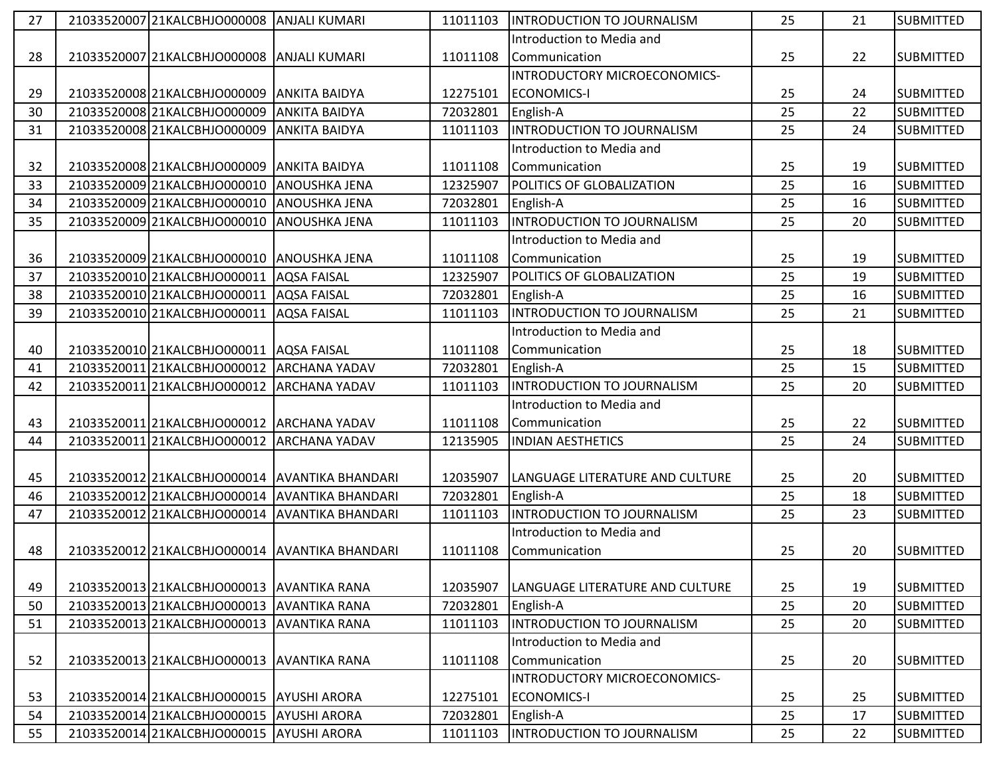| 27 | 21033520007 21KALCBHJO000008 | <b>ANJALI KUMARI</b>                           | 11011103 | INTRODUCTION TO JOURNALISM        | 25 | 21 | <b>SUBMITTED</b> |
|----|------------------------------|------------------------------------------------|----------|-----------------------------------|----|----|------------------|
|    |                              |                                                |          | Introduction to Media and         |    |    |                  |
| 28 | 21033520007 21KALCBHJO000008 | <b>ANJALI KUMARI</b>                           | 11011108 | Communication                     | 25 | 22 | <b>SUBMITTED</b> |
|    |                              |                                                |          | INTRODUCTORY MICROECONOMICS-      |    |    |                  |
| 29 | 21033520008 21KALCBHJO000009 | <b>ANKITA BAIDYA</b>                           | 12275101 | <b>ECONOMICS-I</b>                | 25 | 24 | <b>SUBMITTED</b> |
| 30 | 21033520008 21KALCBHJO000009 | <b>ANKITA BAIDYA</b>                           | 72032801 | English-A                         | 25 | 22 | <b>SUBMITTED</b> |
| 31 | 21033520008 21KALCBHJ0000009 | <b>ANKITA BAIDYA</b>                           | 11011103 | INTRODUCTION TO JOURNALISM        | 25 | 24 | <b>SUBMITTED</b> |
|    |                              |                                                |          | Introduction to Media and         |    |    |                  |
| 32 | 21033520008 21KALCBHJO000009 | <b>JANKITA BAIDYA</b>                          | 11011108 | Communication                     | 25 | 19 | <b>SUBMITTED</b> |
| 33 | 21033520009 21KALCBHJ0000010 | <b>JANOUSHKA JENA</b>                          | 12325907 | POLITICS OF GLOBALIZATION         | 25 | 16 | <b>SUBMITTED</b> |
| 34 | 21033520009 21KALCBHJO000010 | <b>ANOUSHKA JENA</b>                           | 72032801 | English-A                         | 25 | 16 | <b>SUBMITTED</b> |
| 35 | 21033520009 21KALCBHJO000010 | <b>ANOUSHKA JENA</b>                           | 11011103 | INTRODUCTION TO JOURNALISM        | 25 | 20 | <b>SUBMITTED</b> |
|    |                              |                                                |          | Introduction to Media and         |    |    |                  |
| 36 | 21033520009 21KALCBHJO000010 | <b>JANOUSHKA JENA</b>                          | 11011108 | Communication                     | 25 | 19 | <b>SUBMITTED</b> |
| 37 | 21033520010 21KALCBHJO000011 | <b>AQSA FAISAL</b>                             | 12325907 | POLITICS OF GLOBALIZATION         | 25 | 19 | <b>SUBMITTED</b> |
| 38 | 21033520010 21KALCBHJ0000011 | <b>AQSA FAISAL</b>                             | 72032801 | English-A                         | 25 | 16 | <b>SUBMITTED</b> |
| 39 | 21033520010 21KALCBHJ0000011 | <b>AQSA FAISAL</b>                             | 11011103 | INTRODUCTION TO JOURNALISM        | 25 | 21 | <b>SUBMITTED</b> |
|    |                              |                                                |          | Introduction to Media and         |    |    |                  |
| 40 | 21033520010 21KALCBHJO000011 | <b>AQSA FAISAL</b>                             | 11011108 | Communication                     | 25 | 18 | <b>SUBMITTED</b> |
| 41 | 21033520011 21KALCBHJO000012 | <b>ARCHANA YADAV</b>                           | 72032801 | English-A                         | 25 | 15 | <b>SUBMITTED</b> |
| 42 | 21033520011 21KALCBHJ0000012 | <b>ARCHANA YADAV</b>                           | 11011103 | INTRODUCTION TO JOURNALISM        | 25 | 20 | <b>SUBMITTED</b> |
|    |                              |                                                |          | Introduction to Media and         |    |    |                  |
| 43 | 21033520011 21KALCBHJ0000012 | <b>JARCHANA YADAV</b>                          | 11011108 | Communication                     | 25 | 22 | <b>SUBMITTED</b> |
| 44 | 21033520011 21KALCBHJ0000012 | <b>ARCHANA YADAV</b>                           | 12135905 | <b>INDIAN AESTHETICS</b>          | 25 | 24 | <b>SUBMITTED</b> |
|    |                              |                                                |          |                                   |    |    |                  |
| 45 |                              | 21033520012 21KALCBHJO000014 AVANTIKA BHANDARI | 12035907 | LANGUAGE LITERATURE AND CULTURE   | 25 | 20 | <b>SUBMITTED</b> |
| 46 | 21033520012 21KALCBHJO000014 | <b>AVANTIKA BHANDARI</b>                       | 72032801 | English-A                         | 25 | 18 | <b>SUBMITTED</b> |
| 47 | 21033520012 21KALCBHJO000014 | <b>AVANTIKA BHANDARI</b>                       | 11011103 | <b>INTRODUCTION TO JOURNALISM</b> | 25 | 23 | <b>SUBMITTED</b> |
|    |                              |                                                |          | Introduction to Media and         |    |    |                  |
| 48 |                              | 21033520012 21KALCBHJO000014 AVANTIKA BHANDARI | 11011108 | Communication                     | 25 | 20 | <b>SUBMITTED</b> |
|    |                              |                                                |          |                                   |    |    |                  |
| 49 | 21033520013 21KALCBHJ0000013 | <b>AVANTIKA RANA</b>                           | 12035907 | LANGUAGE LITERATURE AND CULTURE   | 25 | 19 | <b>SUBMITTED</b> |
| 50 | 21033520013 21KALCBHJ0000013 | <b>AVANTIKA RANA</b>                           | 72032801 | English-A                         | 25 | 20 | <b>SUBMITTED</b> |
| 51 | 21033520013 21KALCBHJ0000013 | <b>AVANTIKA RANA</b>                           | 11011103 | INTRODUCTION TO JOURNALISM        | 25 | 20 | <b>SUBMITTED</b> |
|    |                              |                                                |          | Introduction to Media and         |    |    |                  |
| 52 | 21033520013 21KALCBHJ0000013 | <b>JAVANTIKA RANA</b>                          | 11011108 | Communication                     | 25 | 20 | <b>SUBMITTED</b> |
|    |                              |                                                |          | INTRODUCTORY MICROECONOMICS-      |    |    |                  |
| 53 | 21033520014 21KALCBHJO000015 | <b>AYUSHI ARORA</b>                            | 12275101 | <b>ECONOMICS-I</b>                | 25 | 25 | <b>SUBMITTED</b> |
| 54 | 21033520014 21KALCBHJO000015 | <b>AYUSHI ARORA</b>                            | 72032801 | English-A                         | 25 | 17 | <b>SUBMITTED</b> |
| 55 | 21033520014 21KALCBHJ0000015 | <b>AYUSHI ARORA</b>                            | 11011103 | <b>INTRODUCTION TO JOURNALISM</b> | 25 | 22 | <b>SUBMITTED</b> |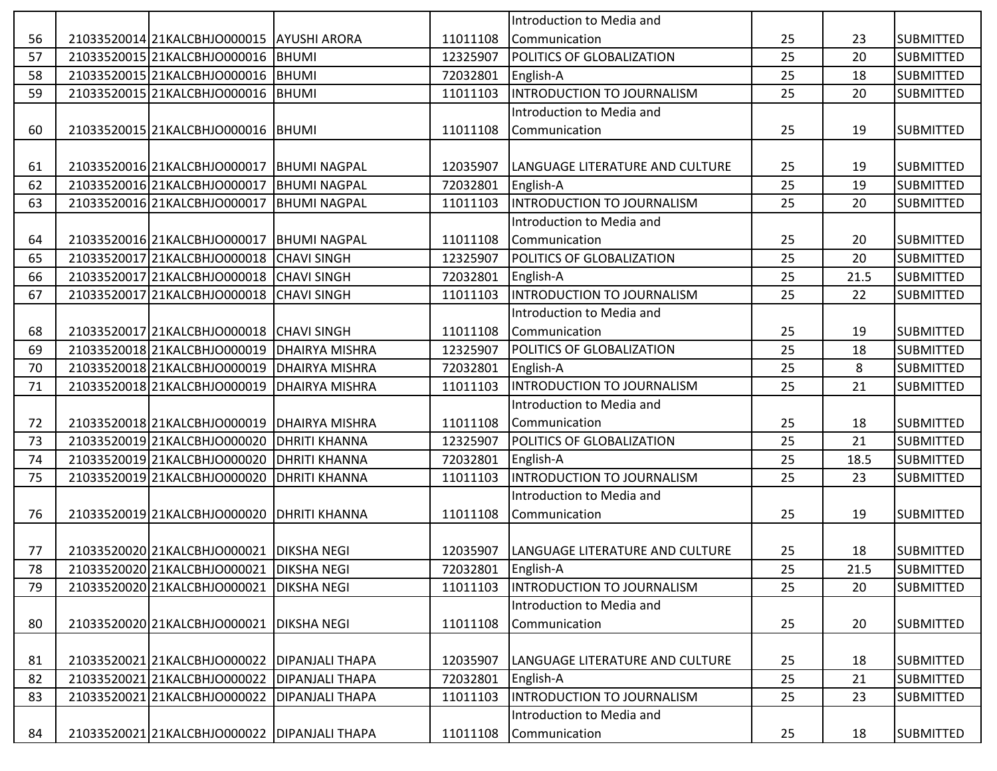|    |                                                |                        |          | Introduction to Media and         |    |      |                  |
|----|------------------------------------------------|------------------------|----------|-----------------------------------|----|------|------------------|
| 56 | 21033520014 21KALCBHJO000015 AYUSHI ARORA      |                        | 11011108 | Communication                     | 25 | 23   | <b>SUBMITTED</b> |
| 57 | 21033520015 21KALCBHJO000016 BHUMI             |                        | 12325907 | POLITICS OF GLOBALIZATION         | 25 | 20   | <b>SUBMITTED</b> |
| 58 | 21033520015 21KALCBHJO000016 BHUMI             |                        | 72032801 | English-A                         | 25 | 18   | <b>SUBMITTED</b> |
| 59 | 21033520015 21KALCBHJO000016 BHUMI             |                        | 11011103 | INTRODUCTION TO JOURNALISM        | 25 | 20   | <b>SUBMITTED</b> |
|    |                                                |                        |          | Introduction to Media and         |    |      |                  |
| 60 | 21033520015 21KALCBHJO000016 BHUMI             |                        | 11011108 | Communication                     | 25 | 19   | <b>SUBMITTED</b> |
|    |                                                |                        |          |                                   |    |      |                  |
| 61 | 21033520016 21KALCBHJO000017   BHUMI NAGPAL    |                        | 12035907 | LANGUAGE LITERATURE AND CULTURE   | 25 | 19   | <b>SUBMITTED</b> |
| 62 | 21033520016 21KALCBHJO000017                   | <b>BHUMI NAGPAL</b>    | 72032801 | English-A                         | 25 | 19   | <b>SUBMITTED</b> |
| 63 | 21033520016 21KALCBHJO000017                   | <b>BHUMI NAGPAL</b>    | 11011103 | INTRODUCTION TO JOURNALISM        | 25 | 20   | <b>SUBMITTED</b> |
|    |                                                |                        |          | Introduction to Media and         |    |      |                  |
| 64 | 21033520016 21KALCBHJO000017                   | <b>BHUMI NAGPAL</b>    | 11011108 | Communication                     | 25 | 20   | <b>SUBMITTED</b> |
| 65 | 21033520017 21KALCBHJ0000018                   | <b>CHAVI SINGH</b>     | 12325907 | <b>POLITICS OF GLOBALIZATION</b>  | 25 | 20   | <b>SUBMITTED</b> |
| 66 | 21033520017 21KALCBHJ0000018                   | <b>CHAVI SINGH</b>     | 72032801 | English-A                         | 25 | 21.5 | <b>SUBMITTED</b> |
| 67 | 21033520017 21KALCBHJO000018                   | <b>CHAVI SINGH</b>     | 11011103 | <b>INTRODUCTION TO JOURNALISM</b> | 25 | 22   | <b>SUBMITTED</b> |
|    |                                                |                        |          | Introduction to Media and         |    |      |                  |
| 68 | 21033520017 21KALCBHJO000018                   | <b>CHAVI SINGH</b>     | 11011108 | Communication                     | 25 | 19   | <b>SUBMITTED</b> |
| 69 | 21033520018 21KALCBHJ0000019                   | <b>DHAIRYA MISHRA</b>  | 12325907 | <b>POLITICS OF GLOBALIZATION</b>  | 25 | 18   | <b>SUBMITTED</b> |
| 70 | 21033520018 21KALCBHJ0000019                   | <b>DHAIRYA MISHRA</b>  | 72032801 | English-A                         | 25 | 8    | <b>SUBMITTED</b> |
| 71 | 21033520018 21KALCBHJ0000019                   | DHAIRYA MISHRA         | 11011103 | INTRODUCTION TO JOURNALISM        | 25 | 21   | <b>SUBMITTED</b> |
|    |                                                |                        |          | Introduction to Media and         |    |      |                  |
| 72 | 21033520018 21KALCBHJO000019                   | <b>DHAIRYA MISHRA</b>  | 11011108 | Communication                     | 25 | 18   | <b>SUBMITTED</b> |
| 73 | 21033520019 21KALCBHJ0000020                   | <b>DHRITI KHANNA</b>   | 12325907 | POLITICS OF GLOBALIZATION         | 25 | 21   | <b>SUBMITTED</b> |
| 74 | 21033520019 21KALCBHJO000020                   | <b>DHRITI KHANNA</b>   | 72032801 | English-A                         | 25 | 18.5 | <b>SUBMITTED</b> |
| 75 | 21033520019 21KALCBHJ0000020                   | <b>DHRITI KHANNA</b>   | 11011103 | INTRODUCTION TO JOURNALISM        | 25 | 23   | <b>SUBMITTED</b> |
|    |                                                |                        |          | Introduction to Media and         |    |      |                  |
| 76 | 21033520019 21KALCBHJ0000020                   | <b>DHRITI KHANNA</b>   | 11011108 | Communication                     | 25 | 19   | <b>SUBMITTED</b> |
|    |                                                |                        |          |                                   |    |      |                  |
| 77 | 21033520020 21KALCBHJO000021 DIKSHA NEGI       |                        | 12035907 | LANGUAGE LITERATURE AND CULTURE   | 25 | 18   | <b>SUBMITTED</b> |
| 78 | 21033520020 21KALCBHJO000021 DIKSHA NEGI       |                        | 72032801 | English-A                         | 25 | 21.5 | <b>SUBMITTED</b> |
| 79 | 21033520020 21KALCBHJO000021                   | <b>DIKSHA NEGI</b>     | 11011103 | <b>INTRODUCTION TO JOURNALISM</b> | 25 | 20   | <b>SUBMITTED</b> |
|    |                                                |                        |          | Introduction to Media and         |    |      |                  |
| 80 | 21033520020 21KALCBHJO000021 DIKSHA NEGI       |                        | 11011108 | Communication                     | 25 | 20   | <b>SUBMITTED</b> |
|    |                                                |                        |          |                                   |    |      |                  |
| 81 | 21033520021 21KALCBHJO000022   DIPANJALI THAPA |                        | 12035907 | LANGUAGE LITERATURE AND CULTURE   | 25 | 18   | <b>SUBMITTED</b> |
| 82 | 21033520021 21KALCBHJO000022                   | <b>DIPANJALI THAPA</b> | 72032801 | English-A                         | 25 | 21   | <b>SUBMITTED</b> |
| 83 | 21033520021 21KALCBHJO000022                   | <b>DIPANJALI THAPA</b> | 11011103 | INTRODUCTION TO JOURNALISM        | 25 | 23   | <b>SUBMITTED</b> |
|    |                                                |                        |          | Introduction to Media and         |    |      |                  |
| 84 | 21033520021 21KALCBHJO000022   DIPANJALI THAPA |                        | 11011108 | Communication                     | 25 | 18   | <b>SUBMITTED</b> |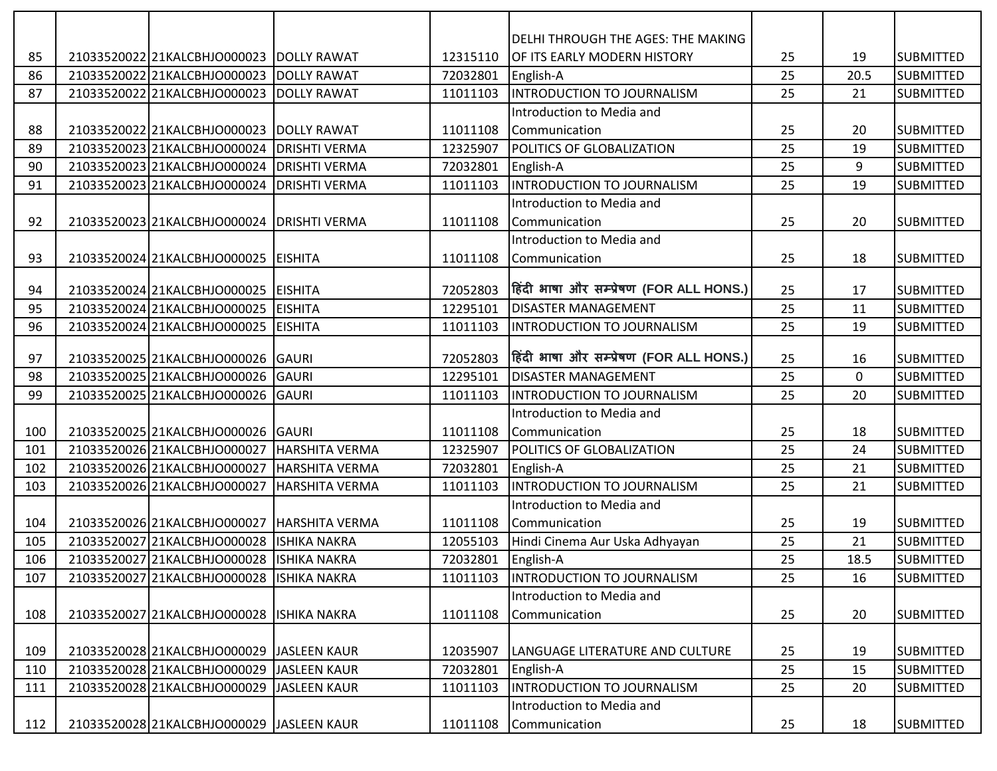|     |                                           |                       |          | DELHI THROUGH THE AGES: THE MAKING      |    |             |                  |
|-----|-------------------------------------------|-----------------------|----------|-----------------------------------------|----|-------------|------------------|
| 85  | 21033520022 21KALCBHJO000023 DOLLY RAWAT  |                       | 12315110 | OF ITS EARLY MODERN HISTORY             | 25 | 19          | <b>SUBMITTED</b> |
| 86  | 2103352002221KALCBHJO000023               | <b>DOLLY RAWAT</b>    | 72032801 | English-A                               | 25 | 20.5        | <b>SUBMITTED</b> |
| 87  | 21033520022 21KALCBHJO000023              | <b>DOLLY RAWAT</b>    | 11011103 | INTRODUCTION TO JOURNALISM              | 25 | 21          | <b>SUBMITTED</b> |
|     |                                           |                       |          | Introduction to Media and               |    |             |                  |
| 88  | 21033520022 21KALCBHJO000023 DOLLY RAWAT  |                       | 11011108 | Communication                           | 25 | 20          | <b>SUBMITTED</b> |
| 89  | 21033520023 21KALCBHJO000024              | <b>DRISHTI VERMA</b>  | 12325907 | POLITICS OF GLOBALIZATION               | 25 | 19          | SUBMITTED        |
| 90  | 21033520023 21KALCBHJO000024              | <b>DRISHTI VERMA</b>  | 72032801 | English-A                               | 25 | 9           | <b>SUBMITTED</b> |
| 91  | 21033520023 21KALCBHJO000024              | <b>DRISHTI VERMA</b>  | 11011103 | INTRODUCTION TO JOURNALISM              | 25 | 19          | <b>SUBMITTED</b> |
|     |                                           |                       |          | Introduction to Media and               |    |             |                  |
| 92  | 21033520023 21KALCBHJO000024              | <b>DRISHTI VERMA</b>  | 11011108 | Communication                           | 25 | 20          | <b>SUBMITTED</b> |
|     |                                           |                       |          | Introduction to Media and               |    |             |                  |
| 93  | 21033520024 21KALCBHJO000025 EISHITA      |                       | 11011108 | Communication                           | 25 | 18          | SUBMITTED        |
|     |                                           |                       |          |                                         |    |             |                  |
| 94  | 21033520024 21KALCBHJO000025              | <b>EISHITA</b>        | 72052803 | हिंदी भाषा और सम्प्रेषण (FOR ALL HONS.) | 25 | 17          | <b>SUBMITTED</b> |
| 95  | 21033520024 21KALCBHJO000025              | <b>EISHITA</b>        | 12295101 | <b>DISASTER MANAGEMENT</b>              | 25 | 11          | <b>SUBMITTED</b> |
| 96  | 21033520024 21KALCBHJO000025              | <b>EISHITA</b>        | 11011103 | <b>INTRODUCTION TO JOURNALISM</b>       | 25 | 19          | <b>SUBMITTED</b> |
|     |                                           |                       |          |                                         |    |             |                  |
| 97  | 21033520025 21KALCBHJO000026 GAURI        |                       | 72052803 | हिंदी भाषा और सम्प्रेषण (FOR ALL HONS.) | 25 | 16          | SUBMITTED        |
| 98  | 21033520025 21KALCBHJO000026              | GAURI                 | 12295101 | <b>DISASTER MANAGEMENT</b>              | 25 | $\mathbf 0$ | <b>SUBMITTED</b> |
| 99  | 21033520025 21KALCBHJO000026              | GAURI                 | 11011103 | <b>INTRODUCTION TO JOURNALISM</b>       | 25 | 20          | <b>SUBMITTED</b> |
|     |                                           |                       |          | Introduction to Media and               |    |             |                  |
| 100 | 21033520025 21KALCBHJO000026 GAURI        |                       | 11011108 | Communication                           | 25 | 18          | <b>SUBMITTED</b> |
| 101 | 21033520026 21KALCBHJO000027              | <b>HARSHITA VERMA</b> | 12325907 | POLITICS OF GLOBALIZATION               | 25 | 24          | <b>SUBMITTED</b> |
| 102 | 21033520026 21KALCBHJO000027              | <b>HARSHITA VERMA</b> | 72032801 | English-A                               | 25 | 21          | <b>SUBMITTED</b> |
| 103 | 21033520026 21KALCBHJO000027              | <b>HARSHITA VERMA</b> | 11011103 | <b>INTRODUCTION TO JOURNALISM</b>       | 25 | 21          | SUBMITTED        |
|     |                                           |                       |          | Introduction to Media and               |    |             |                  |
| 104 | 21033520026 21KALCBHJO000027              | HARSHITA VERMA        | 11011108 | Communication                           | 25 | 19          | <b>SUBMITTED</b> |
| 105 | 21033520027 21KALCBHJO000028              | <b>ISHIKA NAKRA</b>   | 12055103 | Hindi Cinema Aur Uska Adhyayan          | 25 | 21          | <b>SUBMITTED</b> |
| 106 | 21033520027 21KALCBHJO000028 ISHIKA NAKRA |                       | 72032801 | English-A                               | 25 | 18.5        | <b>SUBMITTED</b> |
| 107 | 21033520027 21KALCBHJO000028              | <b>ISHIKA NAKRA</b>   | 11011103 | <b>INTRODUCTION TO JOURNALISM</b>       | 25 | 16          | <b>SUBMITTED</b> |
|     |                                           |                       |          | Introduction to Media and               |    |             |                  |
| 108 | 21033520027 21KALCBHJO000028              | <b>IISHIKA NAKRA</b>  | 11011108 | Communication                           | 25 | 20          | <b>SUBMITTED</b> |
|     |                                           |                       |          |                                         |    |             |                  |
| 109 | 21033520028 21KALCBHJO000029              | JASLEEN KAUR          | 12035907 | LANGUAGE LITERATURE AND CULTURE         | 25 | 19          | <b>SUBMITTED</b> |
| 110 | 21033520028 21KALCBHJ0000029              | JASLEEN KAUR          | 72032801 | English-A                               | 25 | 15          | <b>SUBMITTED</b> |
| 111 | 21033520028 21KALCBHJ0000029              | <b>JASLEEN KAUR</b>   | 11011103 | <b>INTRODUCTION TO JOURNALISM</b>       | 25 | 20          | <b>SUBMITTED</b> |
|     |                                           |                       |          | Introduction to Media and               |    |             |                  |
| 112 | 21033520028 21KALCBHJO000029              | JASLEEN KAUR          | 11011108 | Communication                           | 25 | 18          | <b>SUBMITTED</b> |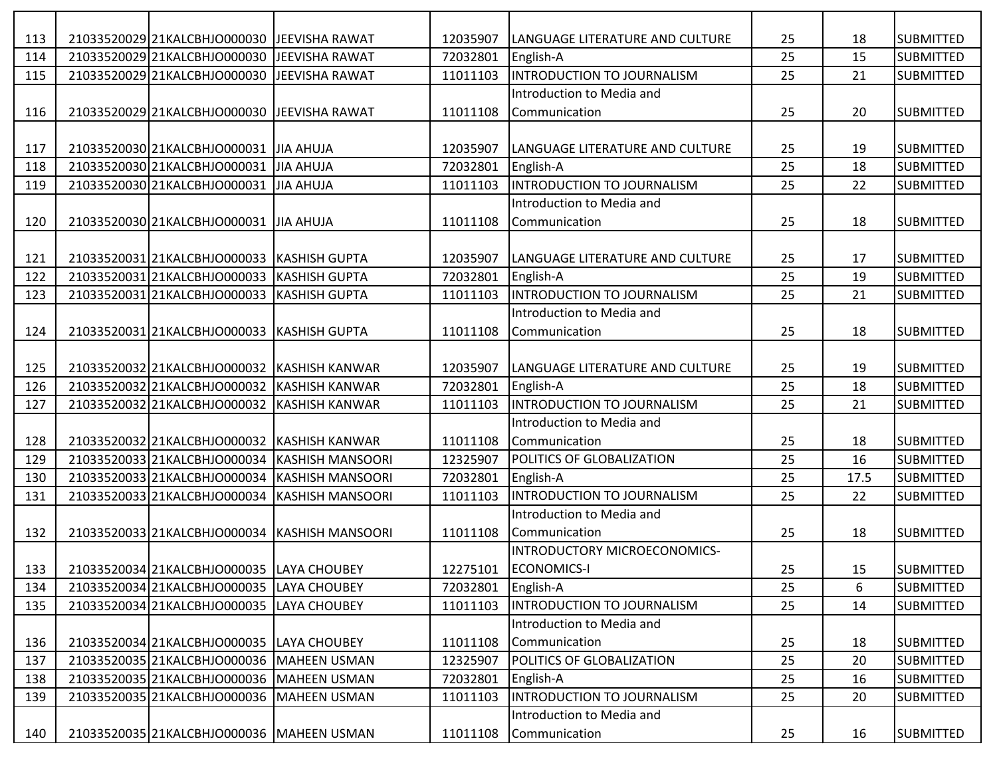| 113 | 21033520029 21KALCBHJO000030 JJEEVISHA RAWAT |                                               | 12035907 | ILANGUAGE LITERATURE AND CULTURE | 25 | 18   | <b>SUBMITTED</b> |
|-----|----------------------------------------------|-----------------------------------------------|----------|----------------------------------|----|------|------------------|
| 114 | 21033520029 21KALCBHJO000030 JEEVISHA RAWAT  |                                               | 72032801 | English-A                        | 25 | 15   | <b>SUBMITTED</b> |
| 115 | 21033520029 21KALCBHJO000030                 | <b>IJEEVISHA RAWAT</b>                        | 11011103 | INTRODUCTION TO JOURNALISM       | 25 | 21   | <b>SUBMITTED</b> |
|     |                                              |                                               |          | Introduction to Media and        |    |      |                  |
| 116 | 21033520029 21KALCBHJO000030 JEEVISHA RAWAT  |                                               | 11011108 | Communication                    | 25 | 20   | <b>SUBMITTED</b> |
|     |                                              |                                               |          |                                  |    |      |                  |
| 117 | 21033520030 21KALCBHJO000031 JJIA AHUJA      |                                               | 12035907 | LANGUAGE LITERATURE AND CULTURE  | 25 | 19   | <b>SUBMITTED</b> |
| 118 | 21033520030 21KALCBHJ0000031                 | JIA AHUJA                                     | 72032801 | English-A                        | 25 | 18   | <b>SUBMITTED</b> |
| 119 | 21033520030 21KALCBHJ0000031                 | JIA AHUJA                                     | 11011103 | INTRODUCTION TO JOURNALISM       | 25 | 22   | <b>SUBMITTED</b> |
|     |                                              |                                               |          | Introduction to Media and        |    |      |                  |
| 120 | 21033520030 21KALCBHJO000031 JJJA AHUJA      |                                               | 11011108 | Communication                    | 25 | 18   | <b>SUBMITTED</b> |
|     |                                              |                                               |          |                                  |    |      |                  |
| 121 | 21033520031 21KALCBHJO000033 KASHISH GUPTA   |                                               | 12035907 | LANGUAGE LITERATURE AND CULTURE  | 25 | 17   | <b>SUBMITTED</b> |
| 122 | 21033520031 21KALCBHJO000033                 | <b>KASHISH GUPTA</b>                          | 72032801 | English-A                        | 25 | 19   | <b>SUBMITTED</b> |
| 123 | 21033520031 21KALCBHJO000033                 | <b>KASHISH GUPTA</b>                          | 11011103 | INTRODUCTION TO JOURNALISM       | 25 | 21   | <b>SUBMITTED</b> |
|     |                                              |                                               |          | Introduction to Media and        |    |      |                  |
| 124 | 2103352003121KALCBHJO000033                  | <b>KASHISH GUPTA</b>                          | 11011108 | Communication                    | 25 | 18   | <b>SUBMITTED</b> |
|     |                                              |                                               |          |                                  |    |      |                  |
| 125 | 21033520032 21KALCBHJO000032                 | <b>IKASHISH KANWAR</b>                        | 12035907 | LANGUAGE LITERATURE AND CULTURE  | 25 | 19   | <b>SUBMITTED</b> |
| 126 | 21033520032 21KALCBHJO000032                 | KASHISH KANWAR                                | 72032801 | English-A                        | 25 | 18   | <b>SUBMITTED</b> |
| 127 | 21033520032 21KALCBHJ0000032                 | KASHISH KANWAR                                | 11011103 | INTRODUCTION TO JOURNALISM       | 25 | 21   | <b>SUBMITTED</b> |
|     |                                              |                                               |          | Introduction to Media and        |    |      |                  |
| 128 | 21033520032 21KALCBHJO000032                 | <b>IKASHISH KANWAR</b>                        | 11011108 | Communication                    | 25 | 18   | <b>SUBMITTED</b> |
| 129 |                                              | 21033520033 21KALCBHJO000034 KASHISH MANSOORI | 12325907 | POLITICS OF GLOBALIZATION        | 25 | 16   | <b>SUBMITTED</b> |
| 130 | 21033520033 21KALCBHJO000034                 | <b>KASHISH MANSOORI</b>                       | 72032801 | English-A                        | 25 | 17.5 | <b>SUBMITTED</b> |
| 131 | 21033520033 21KALCBHJO000034                 | <b>KASHISH MANSOORI</b>                       | 11011103 | INTRODUCTION TO JOURNALISM       | 25 | 22   | <b>SUBMITTED</b> |
|     |                                              |                                               |          | Introduction to Media and        |    |      |                  |
| 132 |                                              | 21033520033 21KALCBHJO000034 KASHISH MANSOORI | 11011108 | Communication                    | 25 | 18   | <b>SUBMITTED</b> |
|     |                                              |                                               |          | INTRODUCTORY MICROECONOMICS-     |    |      |                  |
| 133 | 21033520034 21KALCBHJO000035 LAYA CHOUBEY    |                                               | 12275101 | <b>ECONOMICS-I</b>               | 25 | 15   | <b>SUBMITTED</b> |
| 134 | 21033520034 21KALCBHJO000035 LAYA CHOUBEY    |                                               | 72032801 | English-A                        | 25 | 6    | <b>SUBMITTED</b> |
| 135 | 21033520034 21KALCBHJ0000035 LAYA CHOUBEY    |                                               | 11011103 | INTRODUCTION TO JOURNALISM       | 25 | 14   | <b>SUBMITTED</b> |
|     |                                              |                                               |          | Introduction to Media and        |    |      |                  |
| 136 | 21033520034 21KALCBHJ0000035 LAYA CHOUBEY    |                                               | 11011108 | Communication                    | 25 | 18   | <b>SUBMITTED</b> |
| 137 | 21033520035 21KALCBHJO000036 MAHEEN USMAN    |                                               | 12325907 | POLITICS OF GLOBALIZATION        | 25 | 20   | <b>SUBMITTED</b> |
| 138 | 21033520035 21KALCBHJO000036 MAHEEN USMAN    |                                               | 72032801 | English-A                        | 25 | 16   | <b>SUBMITTED</b> |
| 139 | 21033520035 21KALCBHJO000036 MAHEEN USMAN    |                                               | 11011103 | INTRODUCTION TO JOURNALISM       | 25 | 20   | <b>SUBMITTED</b> |
|     |                                              |                                               |          | Introduction to Media and        |    |      |                  |
| 140 | 21033520035 21KALCBHJO000036 MAHEEN USMAN    |                                               | 11011108 | Communication                    | 25 | 16   | <b>SUBMITTED</b> |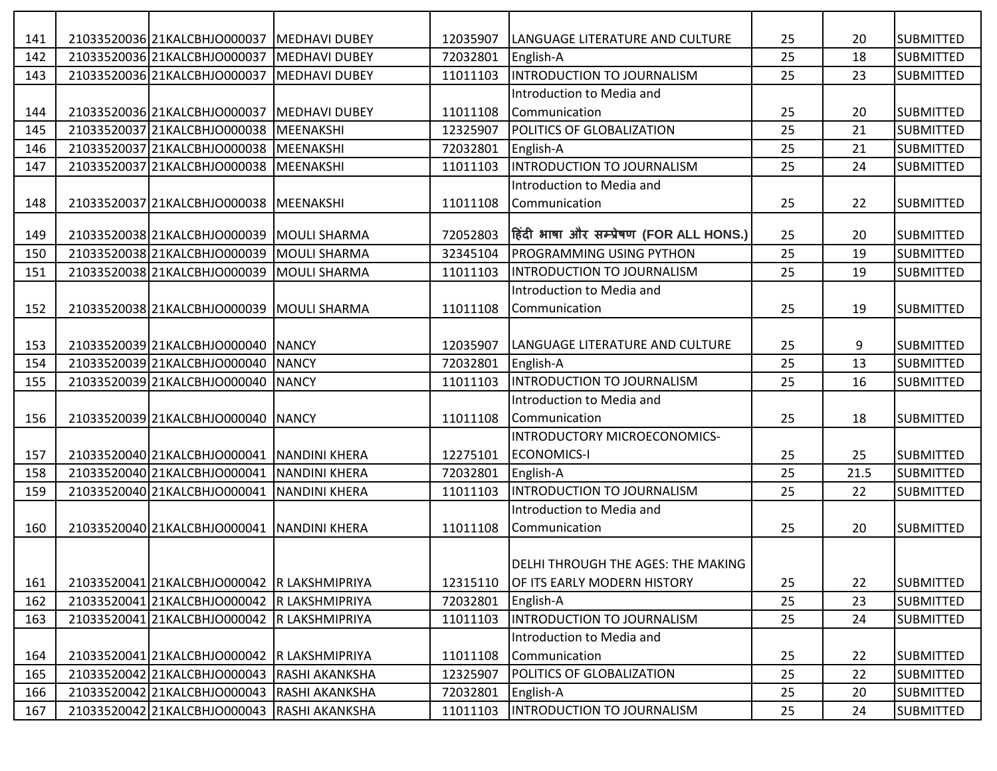| 141 | 21033520036 21KALCBHJO000037 MEDHAVI DUBEY  |                      | 12035907 | LANGUAGE LITERATURE AND CULTURE         | 25 | 20   | <b>SUBMITTED</b> |
|-----|---------------------------------------------|----------------------|----------|-----------------------------------------|----|------|------------------|
| 142 | 21033520036 21KALCBHJO000037                | <b>MEDHAVI DUBEY</b> | 72032801 | English-A                               | 25 | 18   | <b>SUBMITTED</b> |
| 143 | 21033520036 21KALCBHJO000037                | <b>MEDHAVI DUBEY</b> | 11011103 | <b>INTRODUCTION TO JOURNALISM</b>       | 25 | 23   | <b>SUBMITTED</b> |
|     |                                             |                      |          | Introduction to Media and               |    |      |                  |
| 144 | 21033520036 21KALCBHJO000037                | <b>MEDHAVI DUBEY</b> | 11011108 | Communication                           | 25 | 20   | <b>SUBMITTED</b> |
| 145 | 21033520037 21KALCBHJO000038                | MEENAKSHI            | 12325907 | POLITICS OF GLOBALIZATION               | 25 | 21   | <b>SUBMITTED</b> |
| 146 | 21033520037 21KALCBHJO000038                | MEENAKSHI            | 72032801 | English-A                               | 25 | 21   | <b>SUBMITTED</b> |
| 147 | 21033520037 21KALCBHJO000038                | MEENAKSHI            | 11011103 | <b>INTRODUCTION TO JOURNALISM</b>       | 25 | 24   | <b>SUBMITTED</b> |
|     |                                             |                      |          | Introduction to Media and               |    |      |                  |
| 148 | 21033520037 21KALCBHJO000038 MEENAKSHI      |                      | 11011108 | Communication                           | 25 | 22   | <b>SUBMITTED</b> |
|     |                                             |                      |          |                                         |    |      |                  |
| 149 | 21033520038 21KALCBHJO000039                | <b>MOULI SHARMA</b>  | 72052803 | हिंदी भाषा और सम्प्रेषण (FOR ALL HONS.) | 25 | 20   | <b>SUBMITTED</b> |
| 150 | 21033520038 21KALCBHJ0000039                | MOULI SHARMA         | 32345104 | PROGRAMMING USING PYTHON                | 25 | 19   | <b>SUBMITTED</b> |
| 151 | 21033520038 21KALCBHJO000039                | <b>MOULI SHARMA</b>  | 11011103 | <b>INTRODUCTION TO JOURNALISM</b>       | 25 | 19   | <b>SUBMITTED</b> |
|     |                                             |                      |          | Introduction to Media and               |    |      |                  |
| 152 | 21033520038 21KALCBHJO000039                | <b>MOULI SHARMA</b>  | 11011108 | Communication                           | 25 | 19   | <b>SUBMITTED</b> |
|     |                                             |                      |          |                                         |    |      |                  |
| 153 | 21033520039 21KALCBHJO000040 NANCY          |                      | 12035907 | LANGUAGE LITERATURE AND CULTURE         | 25 | 9    | <b>SUBMITTED</b> |
| 154 | 21033520039 21KALCBHJO000040                | <b>NANCY</b>         | 72032801 | English-A                               | 25 | 13   | <b>SUBMITTED</b> |
| 155 | 21033520039 21KALCBHJO000040                | <b>NANCY</b>         | 11011103 | INTRODUCTION TO JOURNALISM              | 25 | 16   | <b>SUBMITTED</b> |
|     |                                             |                      |          | Introduction to Media and               |    |      |                  |
| 156 | 21033520039 21KALCBHJO000040 NANCY          |                      | 11011108 | Communication                           | 25 | 18   | <b>SUBMITTED</b> |
|     |                                             |                      |          | INTRODUCTORY MICROECONOMICS-            |    |      |                  |
| 157 | 21033520040 21KALCBHJO000041 NANDINI KHERA  |                      | 12275101 | <b>ECONOMICS-I</b>                      | 25 | 25   | <b>SUBMITTED</b> |
| 158 | 21033520040 21KALCBHJO000041                | <b>NANDINI KHERA</b> | 72032801 | English-A                               | 25 | 21.5 | <b>SUBMITTED</b> |
| 159 | 21033520040 21KALCBHJO000041                | <b>NANDINI KHERA</b> | 11011103 | <b>INTRODUCTION TO JOURNALISM</b>       | 25 | 22   | <b>SUBMITTED</b> |
|     |                                             |                      |          | Introduction to Media and               |    |      |                  |
| 160 | 21033520040 21KALCBHJO000041 NANDINI KHERA  |                      | 11011108 | Communication                           | 25 | 20   | <b>SUBMITTED</b> |
|     |                                             |                      |          |                                         |    |      |                  |
|     |                                             |                      |          | DELHI THROUGH THE AGES: THE MAKING      |    |      |                  |
| 161 | 21033520041 21KALCBHJO000042 R LAKSHMIPRIYA |                      | 12315110 | OF ITS EARLY MODERN HISTORY             | 25 | 22   | <b>SUBMITTED</b> |
| 162 | 21033520041 21KALCBHJO000042 R LAKSHMIPRIYA |                      | 72032801 | English-A                               | 25 | 23   | SUBMITTED        |
| 163 | 21033520041 21KALCBHJO000042 R LAKSHMIPRIYA |                      | 11011103 | <b>INTRODUCTION TO JOURNALISM</b>       | 25 | 24   | <b>SUBMITTED</b> |
|     |                                             |                      |          | Introduction to Media and               |    |      |                  |
| 164 | 21033520041 21KALCBHJO000042 R LAKSHMIPRIYA |                      | 11011108 | Communication                           | 25 | 22   | <b>SUBMITTED</b> |
| 165 | 21033520042 21KALCBHJO000043 RASHI AKANKSHA |                      | 12325907 | POLITICS OF GLOBALIZATION               | 25 | 22   | <b>SUBMITTED</b> |
| 166 | 21033520042 21KALCBHJO000043 RASHI AKANKSHA |                      | 72032801 | English-A                               | 25 | 20   | SUBMITTED        |
| 167 | 21033520042 21KALCBHJO000043 RASHI AKANKSHA |                      | 11011103 | INTRODUCTION TO JOURNALISM              | 25 | 24   | SUBMITTED        |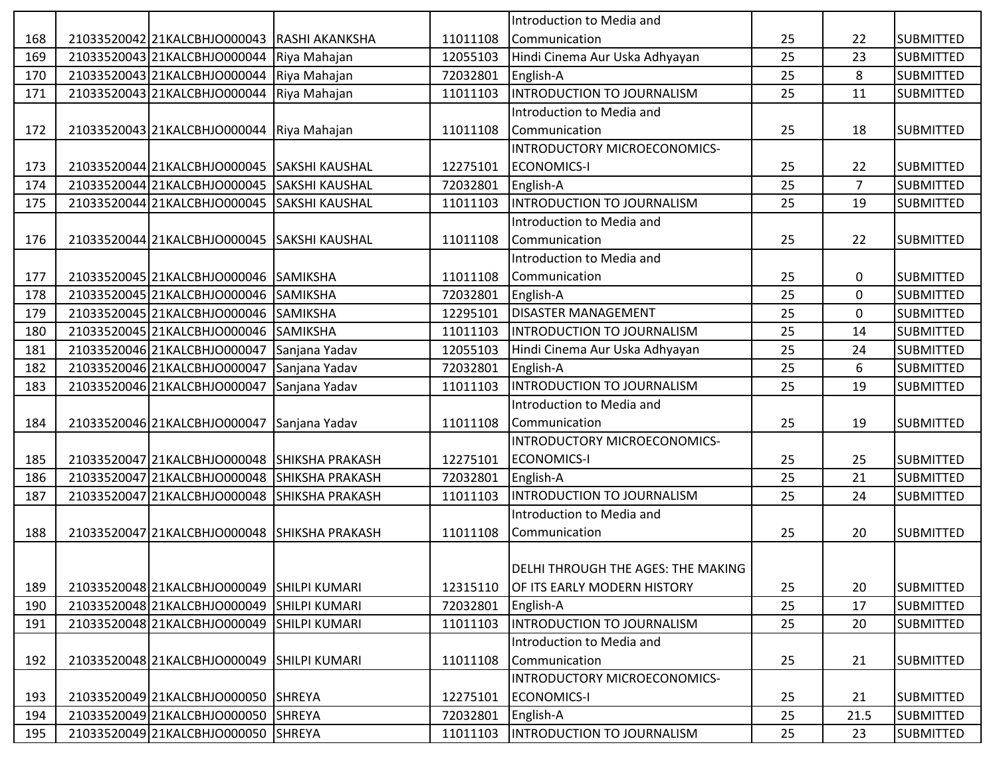|     |                                              |                        |          | Introduction to Media and          |    |                |                  |
|-----|----------------------------------------------|------------------------|----------|------------------------------------|----|----------------|------------------|
| 168 | 21033520042 21KALCBHJO000043 RASHI AKANKSHA  |                        | 11011108 | l Communication                    | 25 | 22             | <b>SUBMITTED</b> |
| 169 | 21033520043 21KALCBHJO000044                 | Riya Mahajan           | 12055103 | Hindi Cinema Aur Uska Adhyayan     | 25 | 23             | <b>SUBMITTED</b> |
| 170 | 21033520043 21KALCBHJO000044                 | Riya Mahajan           | 72032801 | English-A                          | 25 | 8              | <b>SUBMITTED</b> |
| 171 | 21033520043 21KALCBHJO000044                 | Riya Mahajan           | 11011103 | INTRODUCTION TO JOURNALISM         | 25 | 11             | <b>SUBMITTED</b> |
|     |                                              |                        |          | Introduction to Media and          |    |                |                  |
| 172 | 21033520043 21KALCBHJO000044 Riya Mahajan    |                        | 11011108 | Communication                      | 25 | 18             | <b>SUBMITTED</b> |
|     |                                              |                        |          | INTRODUCTORY MICROECONOMICS-       |    |                |                  |
| 173 | 21033520044 21KALCBHJO000045 SAKSHI KAUSHAL  |                        | 12275101 | <b>ECONOMICS-I</b>                 | 25 | 22             | <b>SUBMITTED</b> |
| 174 | 21033520044 21KALCBHJO000045                 | <b>SAKSHI KAUSHAL</b>  | 72032801 | English-A                          | 25 | $\overline{7}$ | <b>SUBMITTED</b> |
| 175 | 21033520044 21KALCBHJ0000045                 | <b>SAKSHI KAUSHAL</b>  | 11011103 | INTRODUCTION TO JOURNALISM         | 25 | 19             | <b>SUBMITTED</b> |
|     |                                              |                        |          | Introduction to Media and          |    |                |                  |
| 176 | 21033520044 21KALCBHJO000045 SAKSHI KAUSHAL  |                        | 11011108 | Communication                      | 25 | 22             | <b>SUBMITTED</b> |
|     |                                              |                        |          | Introduction to Media and          |    |                |                  |
| 177 | 21033520045 21KALCBHJO000046 SAMIKSHA        |                        | 11011108 | Communication                      | 25 | 0              | <b>SUBMITTED</b> |
| 178 | 21033520045 21KALCBHJ0000046 SAMIKSHA        |                        | 72032801 | English-A                          | 25 | $\mathbf 0$    | <b>SUBMITTED</b> |
| 179 | 21033520045 21KALCBHJO000046                 | <b>SAMIKSHA</b>        | 12295101 | <b>DISASTER MANAGEMENT</b>         | 25 | 0              | <b>SUBMITTED</b> |
| 180 | 21033520045 21KALCBHJO000046                 | SAMIKSHA               | 11011103 | INTRODUCTION TO JOURNALISM         | 25 | 14             | <b>SUBMITTED</b> |
| 181 | 21033520046 21KALCBHJO000047                 | Sanjana Yadav          | 12055103 | Hindi Cinema Aur Uska Adhyayan     | 25 | 24             | <b>SUBMITTED</b> |
| 182 | 21033520046 21KALCBHJO000047                 | Sanjana Yadav          | 72032801 | English-A                          | 25 | 6              | <b>SUBMITTED</b> |
| 183 | 21033520046 21KALCBHJO000047                 | Sanjana Yadav          | 11011103 | INTRODUCTION TO JOURNALISM         | 25 | 19             | <b>SUBMITTED</b> |
|     |                                              |                        |          | Introduction to Media and          |    |                |                  |
| 184 | 21033520046 21KALCBHJO000047                 | Sanjana Yadav          | 11011108 | Communication                      | 25 | 19             | SUBMITTED        |
|     |                                              |                        |          | INTRODUCTORY MICROECONOMICS-       |    |                |                  |
| 185 | 21033520047 21KALCBHJO000048 SHIKSHA PRAKASH |                        | 12275101 | <b>ECONOMICS-I</b>                 | 25 | 25             | <b>SUBMITTED</b> |
| 186 | 21033520047 21KALCBHJO000048                 | <b>SHIKSHA PRAKASH</b> | 72032801 | English-A                          | 25 | 21             | <b>SUBMITTED</b> |
| 187 | 21033520047 21KALCBHJO000048                 | <b>SHIKSHA PRAKASH</b> | 11011103 | <b>INTRODUCTION TO JOURNALISM</b>  | 25 | 24             | <b>SUBMITTED</b> |
|     |                                              |                        |          | Introduction to Media and          |    |                |                  |
| 188 | 21033520047 21KALCBHJO000048 SHIKSHA PRAKASH |                        | 11011108 | Communication                      | 25 | 20             | <b>SUBMITTED</b> |
|     |                                              |                        |          |                                    |    |                |                  |
|     |                                              |                        |          | DELHI THROUGH THE AGES: THE MAKING |    |                |                  |
| 189 | 21033520048 21KALCBHJO000049                 | <b>SHILPI KUMARI</b>   | 12315110 | OF ITS EARLY MODERN HISTORY        | 25 | 20             | <b>SUBMITTED</b> |
| 190 | 21033520048 21KALCBHJO000049                 | <b>SHILPI KUMARI</b>   | 72032801 | English-A                          | 25 | 17             | <b>SUBMITTED</b> |
| 191 | 21033520048 21KALCBHJO000049                 | <b>SHILPI KUMARI</b>   | 11011103 | INTRODUCTION TO JOURNALISM         | 25 | 20             | <b>SUBMITTED</b> |
|     |                                              |                        |          | Introduction to Media and          |    |                |                  |
| 192 | 21033520048 21KALCBHJ0000049                 | <b>SHILPI KUMARI</b>   | 11011108 | Communication                      | 25 | 21             | <b>SUBMITTED</b> |
|     |                                              |                        |          | INTRODUCTORY MICROECONOMICS-       |    |                |                  |
| 193 | 21033520049 21KALCBHJO000050 SHREYA          |                        | 12275101 | <b>ECONOMICS-I</b>                 | 25 | 21             | <b>SUBMITTED</b> |
| 194 | 21033520049 21KALCBHJO000050                 | <b>SHREYA</b>          | 72032801 | English-A                          | 25 | 21.5           | <b>SUBMITTED</b> |
| 195 | 21033520049 21KALCBHJO000050 SHREYA          |                        | 11011103 | <b>INTRODUCTION TO JOURNALISM</b>  | 25 | 23             | SUBMITTED        |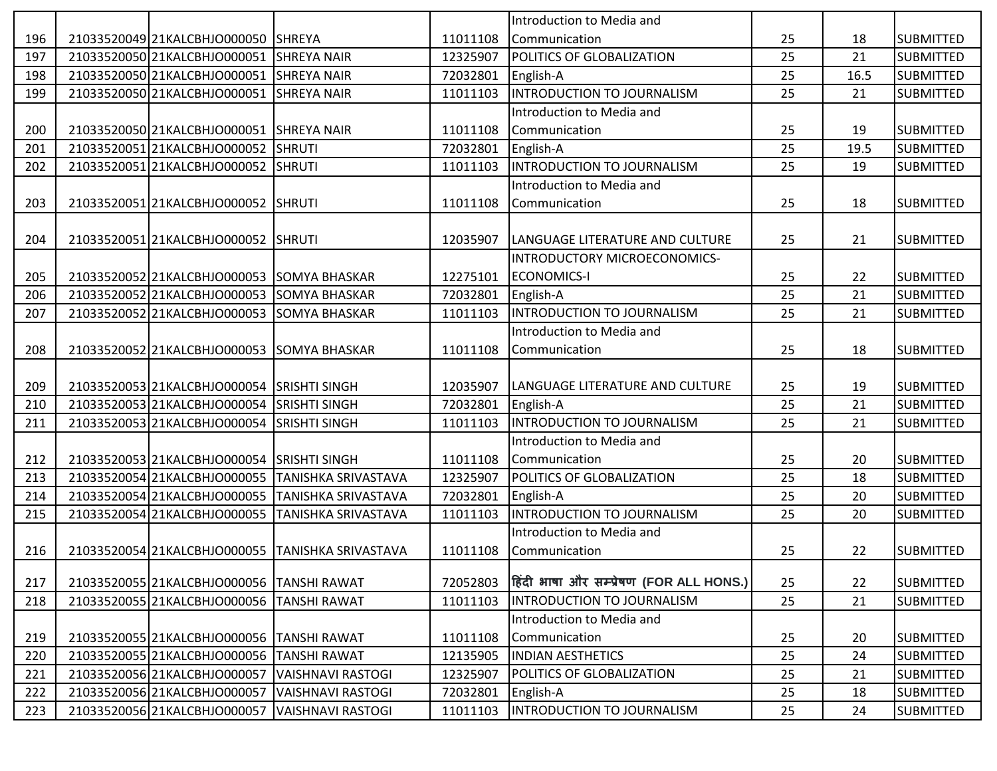|     |                                                |                                                  |          | Introduction to Media and               |    |      |                  |
|-----|------------------------------------------------|--------------------------------------------------|----------|-----------------------------------------|----|------|------------------|
| 196 | 21033520049 21KALCBHJO000050 SHREYA            |                                                  | 11011108 | Communication                           | 25 | 18   | <b>SUBMITTED</b> |
| 197 | 21033520050 21KALCBHJO000051                   | <b>SHREYA NAIR</b>                               | 12325907 | <b>POLITICS OF GLOBALIZATION</b>        | 25 | 21   | <b>SUBMITTED</b> |
| 198 | 21033520050 21KALCBHJO000051                   | <b>SHREYA NAIR</b>                               | 72032801 | English-A                               | 25 | 16.5 | <b>SUBMITTED</b> |
| 199 | 21033520050 21KALCBHJO000051                   | <b>SHREYA NAIR</b>                               | 11011103 | INTRODUCTION TO JOURNALISM              | 25 | 21   | <b>SUBMITTED</b> |
|     |                                                |                                                  |          | Introduction to Media and               |    |      |                  |
| 200 | 21033520050 21KALCBHJO000051 SHREYA NAIR       |                                                  | 11011108 | Communication                           | 25 | 19   | <b>SUBMITTED</b> |
| 201 | 21033520051 21KALCBHJ0000052                   | <b>SHRUTI</b>                                    | 72032801 | English-A                               | 25 | 19.5 | <b>SUBMITTED</b> |
| 202 | 2103352005121KALCBHJO000052                    | <b>SHRUTI</b>                                    | 11011103 | INTRODUCTION TO JOURNALISM              | 25 | 19   | <b>SUBMITTED</b> |
|     |                                                |                                                  |          | Introduction to Media and               |    |      |                  |
| 203 | 21033520051 21KALCBHJO000052 SHRUTI            |                                                  | 11011108 | Communication                           | 25 | 18   | <b>SUBMITTED</b> |
|     |                                                |                                                  |          |                                         |    |      |                  |
| 204 | 21033520051 21KALCBHJO000052                   | <b>SHRUTI</b>                                    | 12035907 | LANGUAGE LITERATURE AND CULTURE         | 25 | 21   | <b>SUBMITTED</b> |
|     |                                                |                                                  |          | INTRODUCTORY MICROECONOMICS-            |    |      |                  |
| 205 | 21033520052 21KALCBHJO000053 SOMYA BHASKAR     |                                                  | 12275101 | <b>ECONOMICS-I</b>                      | 25 | 22   | <b>SUBMITTED</b> |
| 206 | 21033520052 21KALCBHJ0000053                   | <b>SOMYA BHASKAR</b>                             | 72032801 | English-A                               | 25 | 21   | <b>SUBMITTED</b> |
| 207 | 21033520052 21KALCBHJO000053                   | SOMYA BHASKAR                                    | 11011103 | INTRODUCTION TO JOURNALISM              | 25 | 21   | <b>SUBMITTED</b> |
|     |                                                |                                                  |          | Introduction to Media and               |    |      |                  |
| 208 | 21033520052 21KALCBHJO000053                   | <b>SOMYA BHASKAR</b>                             | 11011108 | Communication                           | 25 | 18   | <b>SUBMITTED</b> |
|     |                                                |                                                  |          |                                         |    |      |                  |
| 209 | 21033520053 21KALCBHJO000054 SRISHTI SINGH     |                                                  | 12035907 | LANGUAGE LITERATURE AND CULTURE         | 25 | 19   | <b>SUBMITTED</b> |
| 210 | 21033520053 21KALCBHJO000054                   | <b>SRISHTI SINGH</b>                             | 72032801 | English-A                               | 25 | 21   | <b>SUBMITTED</b> |
| 211 | 21033520053 21KALCBHJO000054                   | <b>SRISHTI SINGH</b>                             | 11011103 | <b>INTRODUCTION TO JOURNALISM</b>       | 25 | 21   | <b>SUBMITTED</b> |
|     |                                                |                                                  |          | Introduction to Media and               |    |      |                  |
| 212 | 21033520053 21KALCBHJO000054                   | <b>SRISHTI SINGH</b>                             | 11011108 | Communication                           | 25 | 20   | <b>SUBMITTED</b> |
| 213 | 21033520054 21KALCBHJO000055                   | TANISHKA SRIVASTAVA                              | 12325907 | POLITICS OF GLOBALIZATION               | 25 | 18   | <b>SUBMITTED</b> |
| 214 | 21033520054 21KALCBHJO000055                   | TANISHKA SRIVASTAVA                              | 72032801 | English-A                               | 25 | 20   | <b>SUBMITTED</b> |
| 215 | 21033520054 21KALCBHJO000055                   | TANISHKA SRIVASTAVA                              | 11011103 | INTRODUCTION TO JOURNALISM              | 25 | 20   | <b>SUBMITTED</b> |
|     |                                                |                                                  |          | Introduction to Media and               |    |      |                  |
| 216 |                                                | 21033520054 21KALCBHJO000055 TANISHKA SRIVASTAVA | 11011108 | Communication                           | 25 | 22   | <b>SUBMITTED</b> |
|     |                                                |                                                  |          |                                         |    |      |                  |
| 217 | 21033520055 21KALCBHJO000056 TANSHI RAWAT      |                                                  | 72052803 | हिंदी भाषा और सम्प्रेषण (FOR ALL HONS.) | 25 | 22   | <b>SUBMITTED</b> |
| 218 | 21033520055 21KALCBHJO000056 TANSHI RAWAT      |                                                  | 11011103 | <b>INTRODUCTION TO JOURNALISM</b>       | 25 | 21   | <b>SUBMITTED</b> |
|     |                                                |                                                  |          | Introduction to Media and               |    |      |                  |
| 219 | 21033520055 21KALCBHJO000056 TANSHI RAWAT      |                                                  | 11011108 | Communication                           | 25 | 20   | <b>SUBMITTED</b> |
| 220 | 21033520055 21KALCBHJO000056                   | <b>TANSHI RAWAT</b>                              | 12135905 | <b>INDIAN AESTHETICS</b>                | 25 | 24   | <b>SUBMITTED</b> |
| 221 | 21033520056 21KALCBHJO000057                   | <b>VAISHNAVI RASTOGI</b>                         | 12325907 | <b>POLITICS OF GLOBALIZATION</b>        | 25 | 21   | <b>SUBMITTED</b> |
| 222 | 21033520056 21KALCBHJO000057 VAISHNAVI RASTOGI |                                                  | 72032801 | English-A                               | 25 | 18   | <b>SUBMITTED</b> |
| 223 | 21033520056 21KALCBHJO000057                   | VAISHNAVI RASTOGI                                | 11011103 | INTRODUCTION TO JOURNALISM              | 25 | 24   | <b>SUBMITTED</b> |